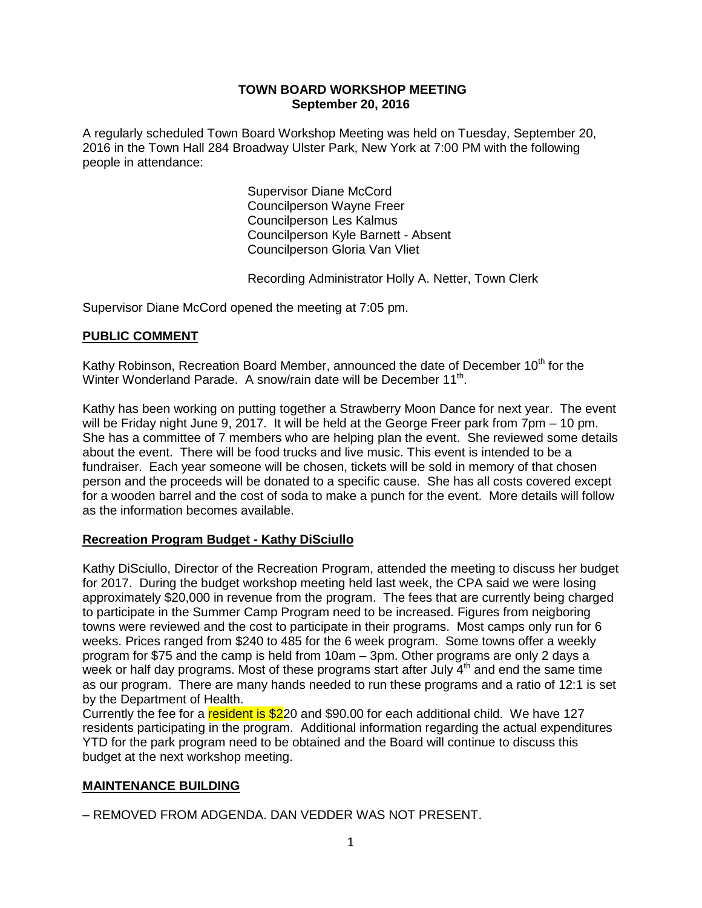#### **TOWN BOARD WORKSHOP MEETING September 20, 2016**

A regularly scheduled Town Board Workshop Meeting was held on Tuesday, September 20, 2016 in the Town Hall 284 Broadway Ulster Park, New York at 7:00 PM with the following people in attendance:

> Supervisor Diane McCord Councilperson Wayne Freer Councilperson Les Kalmus Councilperson Kyle Barnett - Absent Councilperson Gloria Van Vliet

Recording Administrator Holly A. Netter, Town Clerk

Supervisor Diane McCord opened the meeting at 7:05 pm.

### **PUBLIC COMMENT**

Kathy Robinson, Recreation Board Member, announced the date of December 10<sup>th</sup> for the Winter Wonderland Parade. A snow/rain date will be December 11<sup>th</sup>.

Kathy has been working on putting together a Strawberry Moon Dance for next year. The event will be Friday night June 9, 2017. It will be held at the George Freer park from 7pm – 10 pm. She has a committee of 7 members who are helping plan the event. She reviewed some details about the event. There will be food trucks and live music. This event is intended to be a fundraiser. Each year someone will be chosen, tickets will be sold in memory of that chosen person and the proceeds will be donated to a specific cause. She has all costs covered except for a wooden barrel and the cost of soda to make a punch for the event. More details will follow as the information becomes available.

### **Recreation Program Budget - Kathy DiSciullo**

Kathy DiSciullo, Director of the Recreation Program, attended the meeting to discuss her budget for 2017. During the budget workshop meeting held last week, the CPA said we were losing approximately \$20,000 in revenue from the program. The fees that are currently being charged to participate in the Summer Camp Program need to be increased. Figures from neigboring towns were reviewed and the cost to participate in their programs. Most camps only run for 6 weeks. Prices ranged from \$240 to 485 for the 6 week program. Some towns offer a weekly program for \$75 and the camp is held from 10am – 3pm. Other programs are only 2 days a week or half day programs. Most of these programs start after July  $4<sup>th</sup>$  and end the same time as our program. There are many hands needed to run these programs and a ratio of 12:1 is set by the Department of Health.

Currently the fee for a resident is \$220 and \$90.00 for each additional child. We have 127 residents participating in the program. Additional information regarding the actual expenditures YTD for the park program need to be obtained and the Board will continue to discuss this budget at the next workshop meeting.

### **MAINTENANCE BUILDING**

– REMOVED FROM ADGENDA. DAN VEDDER WAS NOT PRESENT.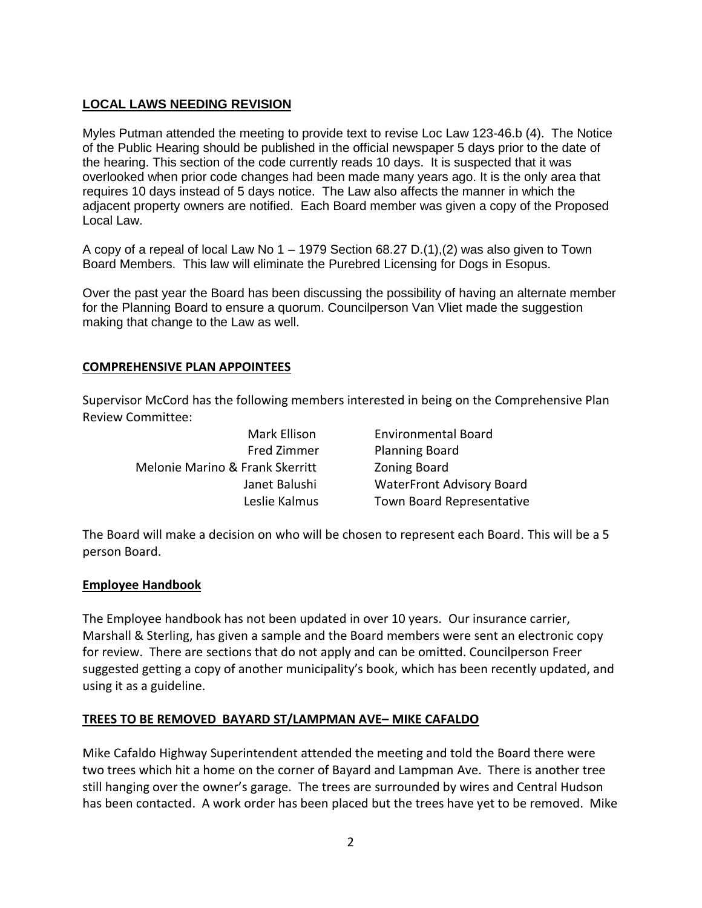# **LOCAL LAWS NEEDING REVISION**

Myles Putman attended the meeting to provide text to revise Loc Law 123-46.b (4). The Notice of the Public Hearing should be published in the official newspaper 5 days prior to the date of the hearing. This section of the code currently reads 10 days. It is suspected that it was overlooked when prior code changes had been made many years ago. It is the only area that requires 10 days instead of 5 days notice. The Law also affects the manner in which the adjacent property owners are notified. Each Board member was given a copy of the Proposed Local Law.

A copy of a repeal of local Law No  $1 - 1979$  Section 68.27 D.(1),(2) was also given to Town Board Members. This law will eliminate the Purebred Licensing for Dogs in Esopus.

Over the past year the Board has been discussing the possibility of having an alternate member for the Planning Board to ensure a quorum. Councilperson Van Vliet made the suggestion making that change to the Law as well.

### **COMPREHENSIVE PLAN APPOINTEES**

Supervisor McCord has the following members interested in being on the Comprehensive Plan Review Committee:

Melonie Marino & Frank Skerritt Zoning Board

Mark Ellison Environmental Board Fred Zimmer Planning Board Janet Balushi WaterFront Advisory Board Leslie Kalmus Town Board Representative

The Board will make a decision on who will be chosen to represent each Board. This will be a 5 person Board.

### **Employee Handbook**

The Employee handbook has not been updated in over 10 years. Our insurance carrier, Marshall & Sterling, has given a sample and the Board members were sent an electronic copy for review. There are sections that do not apply and can be omitted. Councilperson Freer suggested getting a copy of another municipality's book, which has been recently updated, and using it as a guideline.

#### **TREES TO BE REMOVED BAYARD ST/LAMPMAN AVE– MIKE CAFALDO**

Mike Cafaldo Highway Superintendent attended the meeting and told the Board there were two trees which hit a home on the corner of Bayard and Lampman Ave. There is another tree still hanging over the owner's garage. The trees are surrounded by wires and Central Hudson has been contacted. A work order has been placed but the trees have yet to be removed. Mike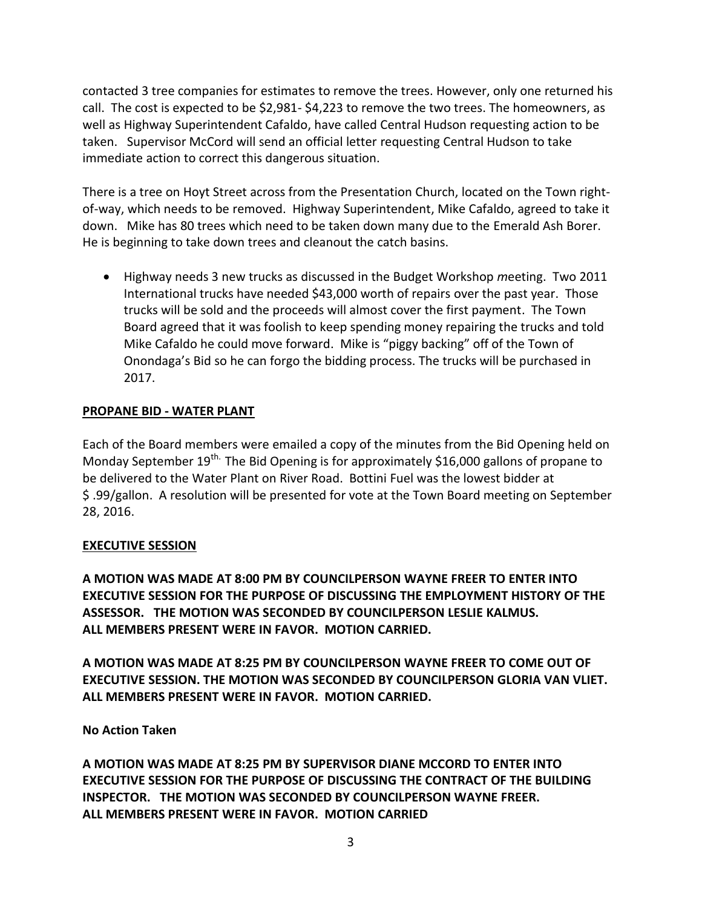contacted 3 tree companies for estimates to remove the trees. However, only one returned his call. The cost is expected to be \$2,981- \$4,223 to remove the two trees. The homeowners, as well as Highway Superintendent Cafaldo, have called Central Hudson requesting action to be taken. Supervisor McCord will send an official letter requesting Central Hudson to take immediate action to correct this dangerous situation.

There is a tree on Hoyt Street across from the Presentation Church, located on the Town rightof-way, which needs to be removed. Highway Superintendent, Mike Cafaldo, agreed to take it down. Mike has 80 trees which need to be taken down many due to the Emerald Ash Borer. He is beginning to take down trees and cleanout the catch basins.

 Highway needs 3 new trucks as discussed in the Budget Workshop *m*eeting. Two 2011 International trucks have needed \$43,000 worth of repairs over the past year. Those trucks will be sold and the proceeds will almost cover the first payment. The Town Board agreed that it was foolish to keep spending money repairing the trucks and told Mike Cafaldo he could move forward. Mike is "piggy backing" off of the Town of Onondaga's Bid so he can forgo the bidding process. The trucks will be purchased in 2017.

## **PROPANE BID - WATER PLANT**

Each of the Board members were emailed a copy of the minutes from the Bid Opening held on Monday September 19<sup>th.</sup> The Bid Opening is for approximately \$16,000 gallons of propane to be delivered to the Water Plant on River Road. Bottini Fuel was the lowest bidder at \$ .99/gallon. A resolution will be presented for vote at the Town Board meeting on September 28, 2016.

## **EXECUTIVE SESSION**

**A MOTION WAS MADE AT 8:00 PM BY COUNCILPERSON WAYNE FREER TO ENTER INTO EXECUTIVE SESSION FOR THE PURPOSE OF DISCUSSING THE EMPLOYMENT HISTORY OF THE ASSESSOR. THE MOTION WAS SECONDED BY COUNCILPERSON LESLIE KALMUS. ALL MEMBERS PRESENT WERE IN FAVOR. MOTION CARRIED.**

**A MOTION WAS MADE AT 8:25 PM BY COUNCILPERSON WAYNE FREER TO COME OUT OF EXECUTIVE SESSION. THE MOTION WAS SECONDED BY COUNCILPERSON GLORIA VAN VLIET. ALL MEMBERS PRESENT WERE IN FAVOR. MOTION CARRIED.**

## **No Action Taken**

**A MOTION WAS MADE AT 8:25 PM BY SUPERVISOR DIANE MCCORD TO ENTER INTO EXECUTIVE SESSION FOR THE PURPOSE OF DISCUSSING THE CONTRACT OF THE BUILDING INSPECTOR. THE MOTION WAS SECONDED BY COUNCILPERSON WAYNE FREER. ALL MEMBERS PRESENT WERE IN FAVOR. MOTION CARRIED**